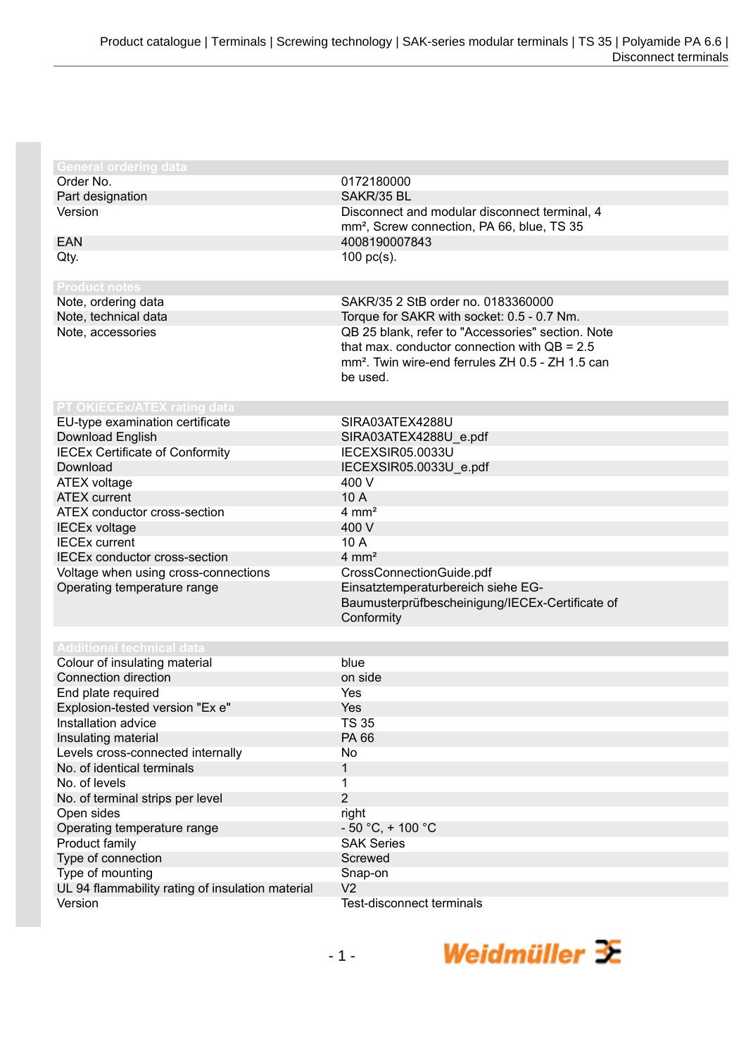| <b>General ordering data</b>                     |                                                              |
|--------------------------------------------------|--------------------------------------------------------------|
| Order No.                                        | 0172180000                                                   |
| Part designation                                 | SAKR/35 BL                                                   |
| Version                                          | Disconnect and modular disconnect terminal, 4                |
|                                                  | mm <sup>2</sup> , Screw connection, PA 66, blue, TS 35       |
| <b>EAN</b>                                       | 4008190007843                                                |
| Qty.                                             | $100$ pc(s).                                                 |
|                                                  |                                                              |
| <b>Product notes</b>                             |                                                              |
| Note, ordering data                              | SAKR/35 2 StB order no. 0183360000                           |
| Note, technical data                             | Torque for SAKR with socket: 0.5 - 0.7 Nm.                   |
| Note, accessories                                | QB 25 blank, refer to "Accessories" section. Note            |
|                                                  | that max. conductor connection with $QB = 2.5$               |
|                                                  | mm <sup>2</sup> . Twin wire-end ferrules ZH 0.5 - ZH 1.5 can |
|                                                  | be used.                                                     |
|                                                  |                                                              |
| PT OKIECEx/ATEX rating data                      |                                                              |
| EU-type examination certificate                  | SIRA03ATEX4288U                                              |
| Download English                                 | SIRA03ATEX4288U_e.pdf                                        |
| <b>IECEx Certificate of Conformity</b>           | IECEXSIR05.0033U                                             |
| Download                                         | IECEXSIR05.0033U_e.pdf                                       |
| <b>ATEX voltage</b>                              | 400 V                                                        |
| <b>ATEX</b> current                              | 10 A                                                         |
| ATEX conductor cross-section                     | $4 \, \text{mm}^2$                                           |
| <b>IECEx voltage</b>                             | 400 V                                                        |
| <b>IECEx current</b>                             | 10A                                                          |
| <b>IECEx conductor cross-section</b>             | $4 \, \text{mm}^2$                                           |
| Voltage when using cross-connections             | CrossConnectionGuide.pdf                                     |
| Operating temperature range                      | Einsatztemperaturbereich siehe EG-                           |
|                                                  | Baumusterprüfbescheinigung/IECEx-Certificate of              |
|                                                  | Conformity                                                   |
| <b>Additional technical data</b>                 |                                                              |
| Colour of insulating material                    | blue                                                         |
| Connection direction                             | on side                                                      |
| End plate required                               | Yes                                                          |
| Explosion-tested version "Ex e"                  | Yes                                                          |
| Installation advice                              | TS 35                                                        |
| Insulating material                              | PA 66                                                        |
| Levels cross-connected internally                | No                                                           |
| No. of identical terminals                       | 1                                                            |
| No. of levels                                    | 1                                                            |
| No. of terminal strips per level                 | $\overline{2}$                                               |
| Open sides                                       | right                                                        |
| Operating temperature range                      | $-50 °C$ , + 100 °C                                          |
| Product family                                   | <b>SAK Series</b>                                            |
| Type of connection                               | Screwed                                                      |
| Type of mounting                                 | Snap-on                                                      |
| UL 94 flammability rating of insulation material | V <sub>2</sub>                                               |
| Version                                          | <b>Test-disconnect terminals</b>                             |
|                                                  |                                                              |

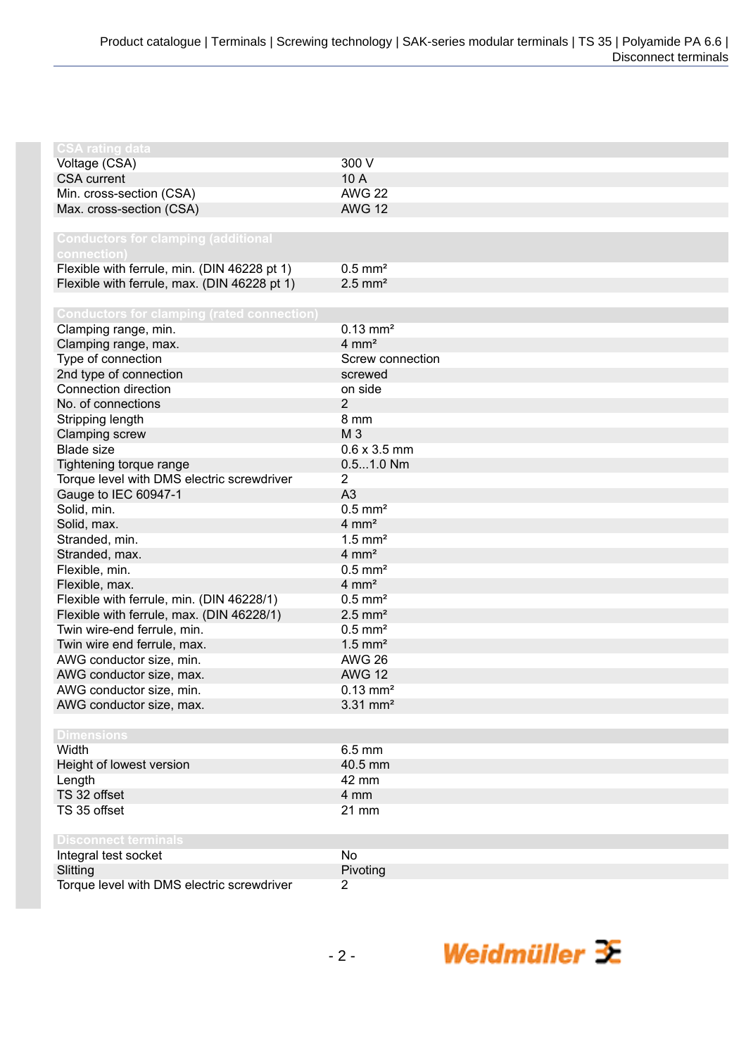| <b>CSA rating data</b>                            |                        |
|---------------------------------------------------|------------------------|
|                                                   | 300 V                  |
| Voltage (CSA)<br><b>CSA</b> current               | 10 A                   |
|                                                   | <b>AWG 22</b>          |
| Min. cross-section (CSA)                          | <b>AWG 12</b>          |
| Max. cross-section (CSA)                          |                        |
| <b>Conductors for clamping (additional</b>        |                        |
| connection)                                       |                        |
| Flexible with ferrule, min. (DIN 46228 pt 1)      | $0.5$ mm <sup>2</sup>  |
| Flexible with ferrule, max. (DIN 46228 pt 1)      | $2.5$ mm <sup>2</sup>  |
|                                                   |                        |
| <b>Conductors for clamping (rated connection)</b> |                        |
| Clamping range, min.                              | $0.13 \, \text{mm}^2$  |
| Clamping range, max.                              | $4 \, \text{mm}^2$     |
| Type of connection                                | Screw connection       |
| 2nd type of connection                            | screwed                |
| Connection direction                              | on side                |
| No. of connections                                | $\overline{2}$         |
| Stripping length                                  | 8 mm                   |
| Clamping screw                                    | M 3                    |
| <b>Blade size</b>                                 | $0.6 \times 3.5$ mm    |
| Tightening torque range                           | $0.51.0$ Nm            |
| Torque level with DMS electric screwdriver        | $\overline{2}$         |
| Gauge to IEC 60947-1                              | A3                     |
| Solid, min.                                       | $0.5$ mm <sup>2</sup>  |
| Solid, max.                                       | $4 \, \text{mm}^2$     |
| Stranded, min.                                    | $1.5$ mm <sup>2</sup>  |
| Stranded, max.                                    | $4 \, \text{mm}^2$     |
| Flexible, min.                                    | $0.5$ mm <sup>2</sup>  |
| Flexible, max.                                    | $4 \, \text{mm}^2$     |
| Flexible with ferrule, min. (DIN 46228/1)         | $0.5$ mm <sup>2</sup>  |
| Flexible with ferrule, max. (DIN 46228/1)         | $2.5$ mm <sup>2</sup>  |
| Twin wire-end ferrule, min.                       | $0.5$ mm <sup>2</sup>  |
| Twin wire end ferrule, max.                       | $1.5$ mm <sup>2</sup>  |
| AWG conductor size, min.                          | <b>AWG 26</b>          |
| AWG conductor size, max.                          | <b>AWG 12</b>          |
| AWG conductor size, min.                          | $0.13$ mm <sup>2</sup> |
| AWG conductor size, max.                          | $3.31$ mm <sup>2</sup> |
|                                                   |                        |
| <b>Dimensions</b>                                 |                        |
| Width                                             | $6.5$ mm               |
| Height of lowest version                          | 40.5 mm                |
| Length                                            | 42 mm                  |
| TS 32 offset                                      | 4 mm                   |
| TS 35 offset                                      | 21 mm                  |
|                                                   |                        |
| <b>Disconnect terminals</b>                       |                        |
| Integral test socket                              | No                     |
| Slitting                                          | Pivoting               |
| Torque level with DMS electric screwdriver        | $\overline{2}$         |